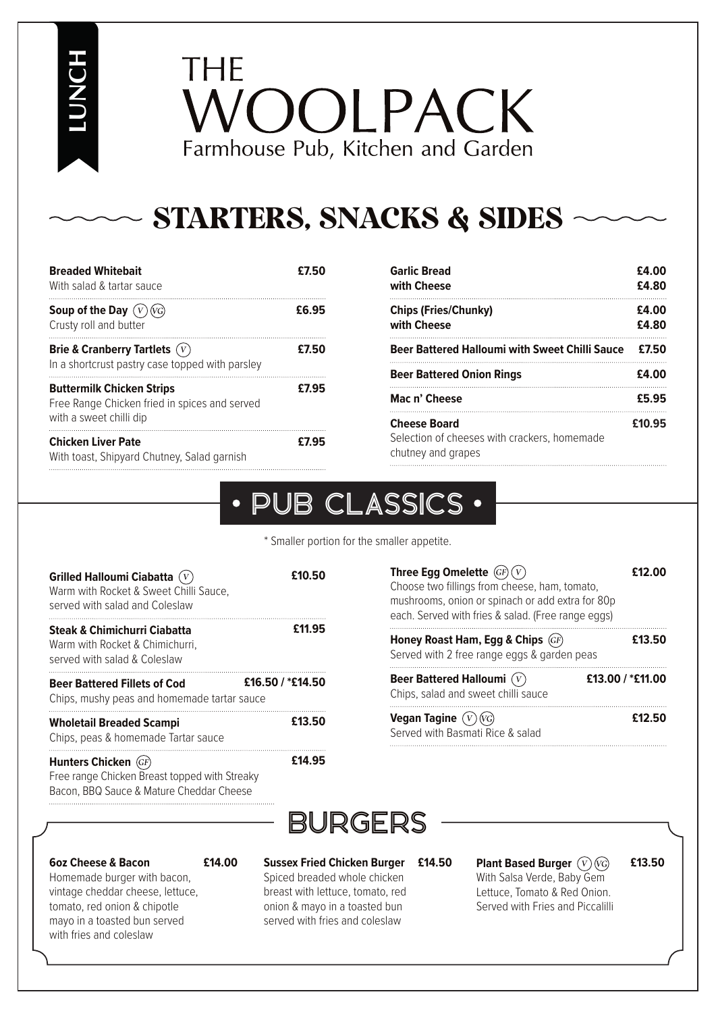**LUNCH**

# THE VOOLPACK Farmhouse Pub, Kitchen and Garden

## STARTERS, SNACKS & SIDES

| <b>Breaded Whitebait</b><br>With salad & tartar sauce                                                        | £7.50 |
|--------------------------------------------------------------------------------------------------------------|-------|
| Soup of the Day $(V)(V)$<br>Crusty roll and butter                                                           | £6.95 |
| Brie & Cranberry Tartlets $(V)$<br>In a shortcrust pastry case topped with parsley                           | £7.50 |
| <b>Buttermilk Chicken Strips</b><br>Free Range Chicken fried in spices and served<br>with a sweet chilli dip | £7.95 |
| <b>Chicken Liver Pate</b><br>With toast, Shipyard Chutney, Salad garnish                                     | £7.95 |

| Garlic Bread<br>with Cheese                                                               | £4.00<br>£4.80 |
|-------------------------------------------------------------------------------------------|----------------|
| <b>Chips (Fries/Chunky)</b><br>with Cheese                                                | £4.00<br>£4.80 |
| Beer Battered Halloumi with Sweet Chilli Sauce                                            | £7.50          |
| <b>Beer Battered Onion Rings</b>                                                          | £4.00          |
| Mac n' Cheese                                                                             | £5.95          |
| <b>Cheese Board</b><br>Selection of cheeses with crackers, homemade<br>chutney and grapes | £10.95         |

#### PUB CLASSICS  $\bullet$

\* Smaller portion for the smaller appetite.

| Grilled Halloumi Ciabatta $(V)$<br>Warm with Rocket & Sweet Chilli Sauce.<br>served with salad and Coleslaw       | £10.50           |
|-------------------------------------------------------------------------------------------------------------------|------------------|
| <b>Steak &amp; Chimichurri Ciabatta</b><br>Warm with Rocket & Chimichurri,<br>served with salad & Coleslaw        | £11.95           |
| <b>Beer Battered Fillets of Cod</b><br>Chips, mushy peas and homemade tartar sauce                                | £16.50 / *£14.50 |
| <b>Wholetail Breaded Scampi</b><br>Chips, peas & homemade Tartar sauce                                            | £13.50           |
| Hunters Chicken (GF)<br>Free range Chicken Breast topped with Streaky<br>Bacon, BBQ Sauce & Mature Cheddar Cheese | £14.95           |

| Three Egg Omelette $(GF)(V)$                                                                      | £12.00           |
|---------------------------------------------------------------------------------------------------|------------------|
| Choose two fillings from cheese, ham, tomato,<br>mushrooms, onion or spinach or add extra for 80p |                  |
| each. Served with fries & salad. (Free range eggs)                                                |                  |
| Honey Roast Ham, Egg & Chips (GF)<br>Served with 2 free range eggs & garden peas                  | £13.50           |
| Beer Battered Halloumi $(V)$                                                                      | £13.00 / *£11.00 |

Chips, salad and sweet chilli sauce **Vegan Tagine**  Served with Basmati Rice & salad

## BURGERS

#### **6oz Cheese & Bacon**

**£14.00**

Homemade burger with bacon, vintage cheddar cheese, lettuce, tomato, red onion & chipotle mayo in a toasted bun served with fries and coleslaw

**Sussex Fried Chicken Burger**  Spiced breaded whole chicken breast with lettuce, tomato, red onion & mayo in a toasted bun served with fries and coleslaw

**Plant Based Burger £14.50 £13.50** With Salsa Verde, Baby Gem Lettuce, Tomato & Red Onion. Served with Fries and Piccalilli

**£12.50**